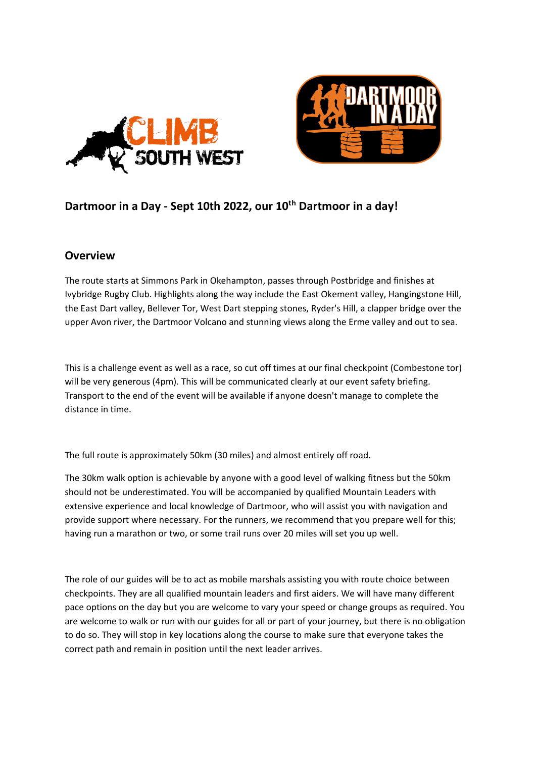



# **Dartmoor in a Day - Sept 10th 2022, our 10th Dartmoor in a day!**

#### **Overview**

The route starts at Simmons Park in Okehampton, passes through Postbridge and finishes at Ivybridge Rugby Club. Highlights along the way include the East Okement valley, Hangingstone Hill, the East Dart valley, Bellever Tor, West Dart stepping stones, Ryder's Hill, a clapper bridge over the upper Avon river, the Dartmoor Volcano and stunning views along the Erme valley and out to sea.

This is a challenge event as well as a race, so cut off times at our final checkpoint (Combestone tor) will be very generous (4pm). This will be communicated clearly at our event safety briefing. Transport to the end of the event will be available if anyone doesn't manage to complete the distance in time.

The full route is approximately 50km (30 miles) and almost entirely off road.

The 30km walk option is achievable by anyone with a good level of walking fitness but the 50km should not be underestimated. You will be accompanied by qualified Mountain Leaders with extensive experience and local knowledge of Dartmoor, who will assist you with navigation and provide support where necessary. For the runners, we recommend that you prepare well for this; having run a marathon or two, or some trail runs over 20 miles will set you up well.

The role of our guides will be to act as mobile marshals assisting you with route choice between checkpoints. They are all qualified mountain leaders and first aiders. We will have many different pace options on the day but you are welcome to vary your speed or change groups as required. You are welcome to walk or run with our guides for all or part of your journey, but there is no obligation to do so. They will stop in key locations along the course to make sure that everyone takes the correct path and remain in position until the next leader arrives.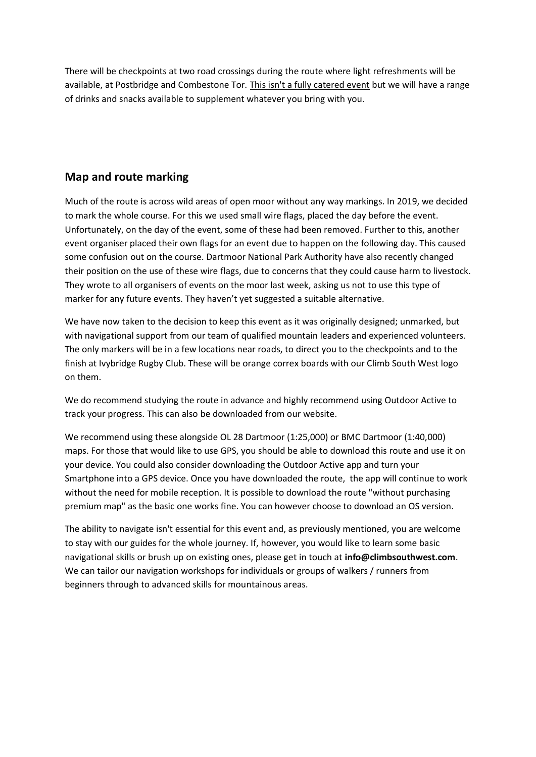There will be checkpoints at two road crossings during the route where light refreshments will be available, at Postbridge and Combestone Tor. This isn't a fully catered event but we will have a range of drinks and snacks available to supplement whatever you bring with you.

# **Map and route marking**

Much of the route is across wild areas of open moor without any way markings. In 2019, we decided to mark the whole course. For this we used small wire flags, placed the day before the event. Unfortunately, on the day of the event, some of these had been removed. Further to this, another event organiser placed their own flags for an event due to happen on the following day. This caused some confusion out on the course. Dartmoor National Park Authority have also recently changed their position on the use of these wire flags, due to concerns that they could cause harm to livestock. They wrote to all organisers of events on the moor last week, asking us not to use this type of marker for any future events. They haven't yet suggested a suitable alternative.

We have now taken to the decision to keep this event as it was originally designed; unmarked, but with navigational support from our team of qualified mountain leaders and experienced volunteers. The only markers will be in a few locations near roads, to direct you to the checkpoints and to the finish at Ivybridge Rugby Club. These will be orange correx boards with our Climb South West logo on them.

We do recommend studying the route in advance and highly recommend using Outdoor Active to track your progress. This can also be downloaded from our website.

We recommend using these alongside OL 28 Dartmoor (1:25,000) or BMC Dartmoor (1:40,000) maps. For those that would like to use GPS, you should be able to download this route and use it on your device. You could also consider downloading the Outdoor Active app and turn your Smartphone into a GPS device. Once you have downloaded the route, the app will continue to work without the need for mobile reception. It is possible to download the route "without purchasing premium map" as the basic one works fine. You can however choose to download an OS version.

The ability to navigate isn't essential for this event and, as previously mentioned, you are welcome to stay with our guides for the whole journey. If, however, you would like to learn some basic navigational skills or brush up on existing ones, please get in touch at **info@climbsouthwest.com**. We can tailor our navigation workshops for individuals or groups of walkers / runners from beginners through to advanced skills for mountainous areas.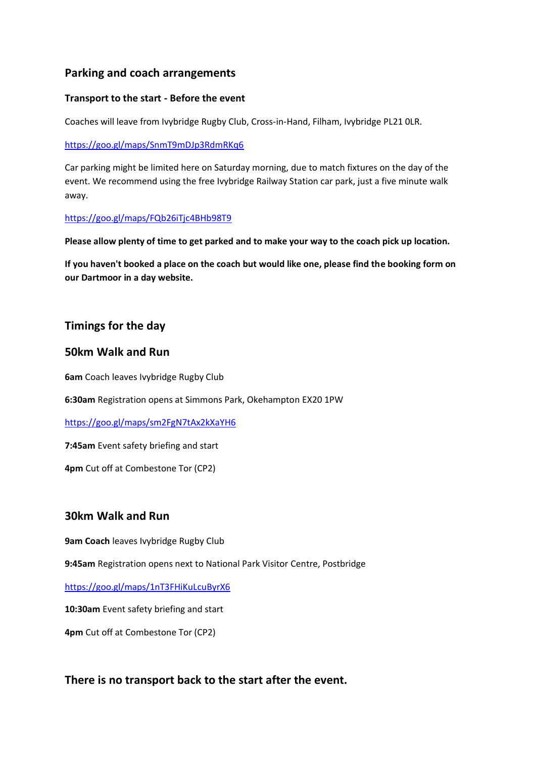## **Parking and coach arrangements**

#### **Transport to the start - Before the event**

Coaches will leave from Ivybridge Rugby Club, Cross-in-Hand, Filham, Ivybridge PL21 0LR.

<https://goo.gl/maps/SnmT9mDJp3RdmRKq6>

Car parking might be limited here on Saturday morning, due to match fixtures on the day of the event. We recommend using the free Ivybridge Railway Station car park, just a five minute walk away.

<https://goo.gl/maps/FQb26iTjc4BHb98T9>

**Please allow plenty of time to get parked and to make your way to the coach pick up location.**

**If you haven't booked a place on the coach but would like one, please find the booking form on our Dartmoor in a day website.**

# **Timings for the day**

### **50km Walk and Run**

**6am** Coach leaves Ivybridge Rugby Club

**6:30am** Registration opens at Simmons Park, Okehampton EX20 1PW

<https://goo.gl/maps/sm2FgN7tAx2kXaYH6>

**7:45am** Event safety briefing and start

**4pm** Cut off at Combestone Tor (CP2)

## **30km Walk and Run**

**9am Coach** leaves Ivybridge Rugby Club

**9:45am** Registration opens next to National Park Visitor Centre, Postbridge

<https://goo.gl/maps/1nT3FHiKuLcuByrX6>

**10:30am** Event safety briefing and start

**4pm** Cut off at Combestone Tor (CP2)

## **There is no transport back to the start after the event.**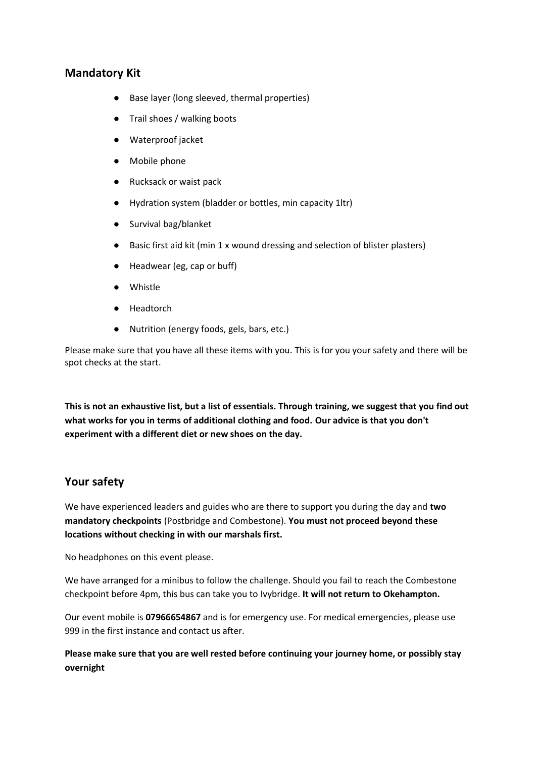### **Mandatory Kit**

- Base layer (long sleeved, thermal properties)
- Trail shoes / walking boots
- Waterproof jacket
- Mobile phone
- Rucksack or waist pack
- Hydration system (bladder or bottles, min capacity 1ltr)
- Survival bag/blanket
- Basic first aid kit (min 1 x wound dressing and selection of blister plasters)
- Headwear (eg, cap or buff)
- Whistle
- Headtorch
- Nutrition (energy foods, gels, bars, etc.)

Please make sure that you have all these items with you. This is for you your safety and there will be spot checks at the start.

**This is not an exhaustive list, but a list of essentials. Through training, we suggest that you find out what works for you in terms of additional clothing and food. Our advice is that you don't experiment with a different diet or new shoes on the day.** 

#### **Your safety**

We have experienced leaders and guides who are there to support you during the day and **two mandatory checkpoints** (Postbridge and Combestone). **You must not proceed beyond these locations without checking in with our marshals first.**

No headphones on this event please.

We have arranged for a minibus to follow the challenge. Should you fail to reach the Combestone checkpoint before 4pm, this bus can take you to Ivybridge. **It will not return to Okehampton.**

Our event mobile is **07966654867** and is for emergency use. For medical emergencies, please use 999 in the first instance and contact us after.

**Please make sure that you are well rested before continuing your journey home, or possibly stay overnight**